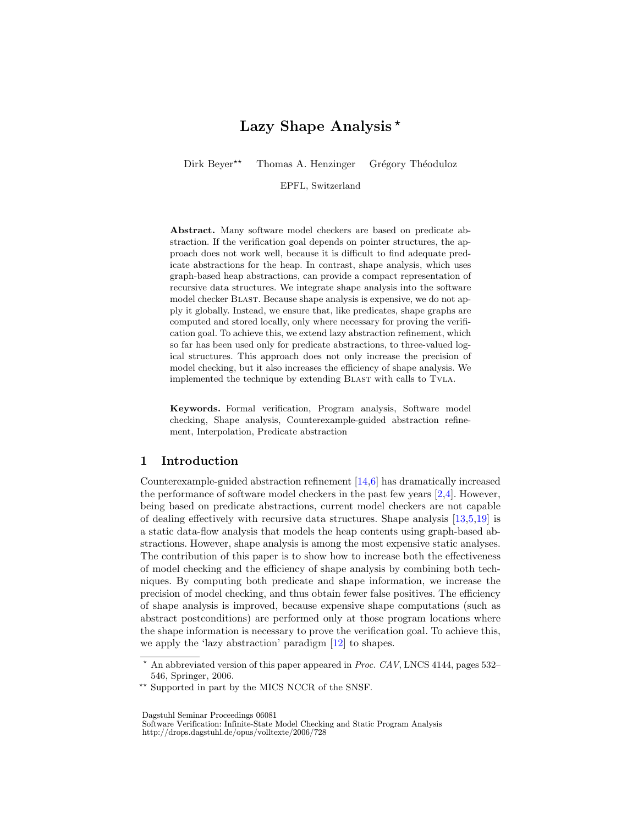# Lazy Shape Analysis<sup>\*</sup>

Dirk Beyer<sup>\*\*</sup> Thomas A. Henzinger Grégory Théoduloz

EPFL, Switzerland

Abstract. Many software model checkers are based on predicate abstraction. If the verification goal depends on pointer structures, the approach does not work well, because it is difficult to find adequate predicate abstractions for the heap. In contrast, shape analysis, which uses graph-based heap abstractions, can provide a compact representation of recursive data structures. We integrate shape analysis into the software model checker BLAST. Because shape analysis is expensive, we do not apply it globally. Instead, we ensure that, like predicates, shape graphs are computed and stored locally, only where necessary for proving the verification goal. To achieve this, we extend lazy abstraction refinement, which so far has been used only for predicate abstractions, to three-valued logical structures. This approach does not only increase the precision of model checking, but it also increases the efficiency of shape analysis. We implemented the technique by extending BLAST with calls to TVLA.

Keywords. Formal verification, Program analysis, Software model checking, Shape analysis, Counterexample-guided abstraction refinement, Interpolation, Predicate abstraction

# 1 Introduction

Counterexample-guided abstraction refinement [\[14,](#page-15-0)[6\]](#page-15-1) has dramatically increased the performance of software model checkers in the past few years [\[2,](#page-15-2)[4\]](#page-15-3). However, being based on predicate abstractions, current model checkers are not capable of dealing effectively with recursive data structures. Shape analysis [\[13,](#page-15-4)[5](#page-15-5)[,19\]](#page-15-6) is a static data-flow analysis that models the heap contents using graph-based abstractions. However, shape analysis is among the most expensive static analyses. The contribution of this paper is to show how to increase both the effectiveness of model checking and the efficiency of shape analysis by combining both techniques. By computing both predicate and shape information, we increase the precision of model checking, and thus obtain fewer false positives. The efficiency of shape analysis is improved, because expensive shape computations (such as abstract postconditions) are performed only at those program locations where the shape information is necessary to prove the verification goal. To achieve this, we apply the 'lazy abstraction' paradigm [\[12\]](#page-15-7) to shapes.

Dagstuhl Seminar Proceedings 06081

 $*$  An abbreviated version of this paper appeared in Proc. CAV, LNCS 4144, pages 532– 546, Springer, 2006.

<sup>\*\*</sup> Supported in part by the MICS NCCR of the SNSF.

Software Verification: Infinite-State Model Checking and Static Program Analysis http://drops.dagstuhl.de/opus/volltexte/2006/728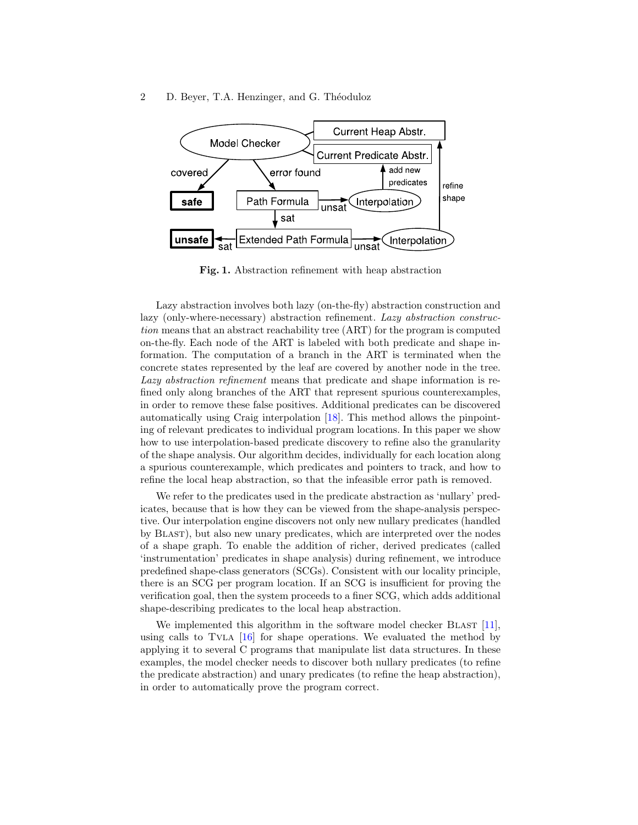

<span id="page-1-0"></span>Fig. 1. Abstraction refinement with heap abstraction

Lazy abstraction involves both lazy (on-the-fly) abstraction construction and lazy (only-where-necessary) abstraction refinement. Lazy abstraction construction means that an abstract reachability tree (ART) for the program is computed on-the-fly. Each node of the ART is labeled with both predicate and shape information. The computation of a branch in the ART is terminated when the concrete states represented by the leaf are covered by another node in the tree. Lazy abstraction refinement means that predicate and shape information is refined only along branches of the ART that represent spurious counterexamples, in order to remove these false positives. Additional predicates can be discovered automatically using Craig interpolation [\[18\]](#page-15-8). This method allows the pinpointing of relevant predicates to individual program locations. In this paper we show how to use interpolation-based predicate discovery to refine also the granularity of the shape analysis. Our algorithm decides, individually for each location along a spurious counterexample, which predicates and pointers to track, and how to refine the local heap abstraction, so that the infeasible error path is removed.

We refer to the predicates used in the predicate abstraction as 'nullary' predicates, because that is how they can be viewed from the shape-analysis perspective. Our interpolation engine discovers not only new nullary predicates (handled by Blast), but also new unary predicates, which are interpreted over the nodes of a shape graph. To enable the addition of richer, derived predicates (called 'instrumentation' predicates in shape analysis) during refinement, we introduce predefined shape-class generators (SCGs). Consistent with our locality principle, there is an SCG per program location. If an SCG is insufficient for proving the verification goal, then the system proceeds to a finer SCG, which adds additional shape-describing predicates to the local heap abstraction.

We implemented this algorithm in the software model checker BLAST [\[11\]](#page-15-9), using calls to TVLA  $[16]$  for shape operations. We evaluated the method by applying it to several C programs that manipulate list data structures. In these examples, the model checker needs to discover both nullary predicates (to refine the predicate abstraction) and unary predicates (to refine the heap abstraction), in order to automatically prove the program correct.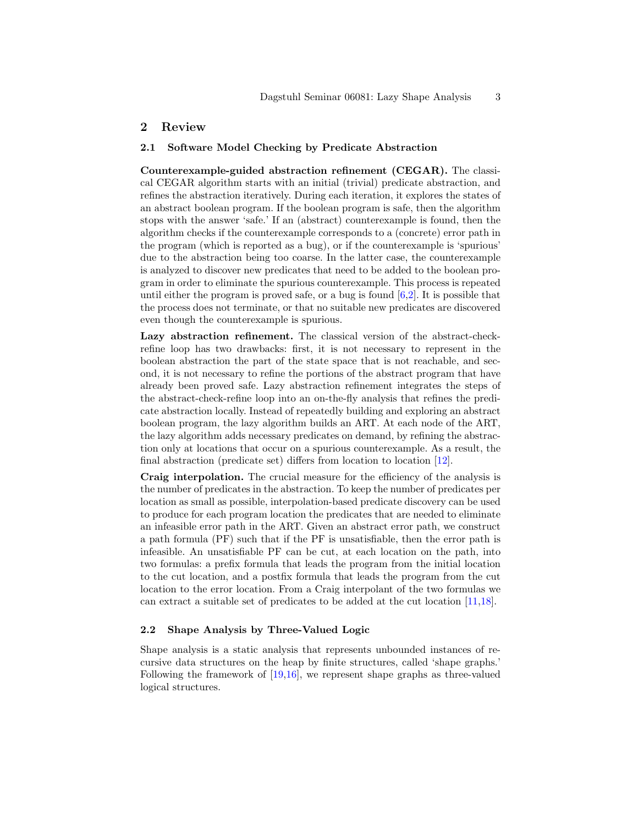# 2 Review

### 2.1 Software Model Checking by Predicate Abstraction

Counterexample-guided abstraction refinement (CEGAR). The classical CEGAR algorithm starts with an initial (trivial) predicate abstraction, and refines the abstraction iteratively. During each iteration, it explores the states of an abstract boolean program. If the boolean program is safe, then the algorithm stops with the answer 'safe.' If an (abstract) counterexample is found, then the algorithm checks if the counterexample corresponds to a (concrete) error path in the program (which is reported as a bug), or if the counterexample is 'spurious' due to the abstraction being too coarse. In the latter case, the counterexample is analyzed to discover new predicates that need to be added to the boolean program in order to eliminate the spurious counterexample. This process is repeated until either the program is proved safe, or a bug is found  $[6,2]$  $[6,2]$ . It is possible that the process does not terminate, or that no suitable new predicates are discovered even though the counterexample is spurious.

Lazy abstraction refinement. The classical version of the abstract-checkrefine loop has two drawbacks: first, it is not necessary to represent in the boolean abstraction the part of the state space that is not reachable, and second, it is not necessary to refine the portions of the abstract program that have already been proved safe. Lazy abstraction refinement integrates the steps of the abstract-check-refine loop into an on-the-fly analysis that refines the predicate abstraction locally. Instead of repeatedly building and exploring an abstract boolean program, the lazy algorithm builds an ART. At each node of the ART, the lazy algorithm adds necessary predicates on demand, by refining the abstraction only at locations that occur on a spurious counterexample. As a result, the final abstraction (predicate set) differs from location to location  $[12]$ .

Craig interpolation. The crucial measure for the efficiency of the analysis is the number of predicates in the abstraction. To keep the number of predicates per location as small as possible, interpolation-based predicate discovery can be used to produce for each program location the predicates that are needed to eliminate an infeasible error path in the ART. Given an abstract error path, we construct a path formula (PF) such that if the PF is unsatisfiable, then the error path is infeasible. An unsatisfiable PF can be cut, at each location on the path, into two formulas: a prefix formula that leads the program from the initial location to the cut location, and a postfix formula that leads the program from the cut location to the error location. From a Craig interpolant of the two formulas we can extract a suitable set of predicates to be added at the cut location [\[11,](#page-15-9)[18\]](#page-15-8).

# 2.2 Shape Analysis by Three-Valued Logic

Shape analysis is a static analysis that represents unbounded instances of recursive data structures on the heap by finite structures, called 'shape graphs.' Following the framework of [\[19,](#page-15-6)[16\]](#page-15-10), we represent shape graphs as three-valued logical structures.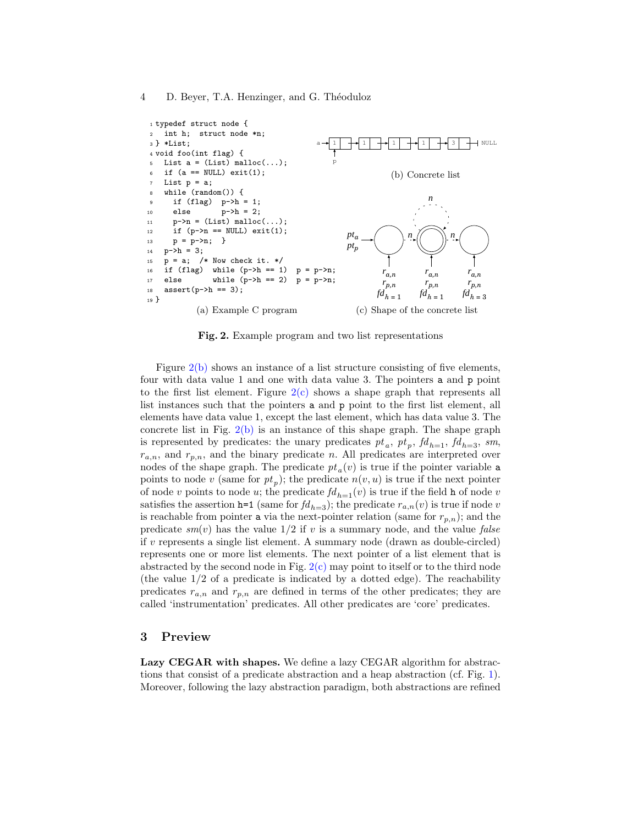<span id="page-3-2"></span><span id="page-3-0"></span>

<span id="page-3-1"></span>Fig. 2. Example program and two list representations

Figure  $2(b)$  shows an instance of a list structure consisting of five elements, four with data value 1 and one with data value 3. The pointers a and p point to the first list element. Figure  $2(c)$  shows a shape graph that represents all list instances such that the pointers a and p point to the first list element, all elements have data value 1, except the last element, which has data value 3. The concrete list in Fig.  $2(b)$  is an instance of this shape graph. The shape graph is represented by predicates: the unary predicates  $pt_a$ ,  $pt_p$ ,  $fd_{h=1}$ ,  $fd_{h=3}$ ,  $sm$ ,  $r_{a,n}$ , and  $r_{p,n}$ , and the binary predicate n. All predicates are interpreted over nodes of the shape graph. The predicate  $pt_a(v)$  is true if the pointer variable a points to node v (same for  $pt_p$ ); the predicate  $n(v, u)$  is true if the next pointer of node v points to node u; the predicate  $fd_{h=1}(v)$  is true if the field h of node v satisfies the assertion h=1 (same for  $fd_{h=3}$ ); the predicate  $r_{a,n}(v)$  is true if node v is reachable from pointer **a** via the next-pointer relation (same for  $r_{p,n}$ ); and the predicate  $sm(v)$  has the value  $1/2$  if v is a summary node, and the value false if v represents a single list element. A summary node (drawn as double-circled) represents one or more list elements. The next pointer of a list element that is abstracted by the second node in Fig.  $2(c)$  may point to itself or to the third node (the value 1/2 of a predicate is indicated by a dotted edge). The reachability predicates  $r_{a,n}$  and  $r_{p,n}$  are defined in terms of the other predicates; they are called 'instrumentation' predicates. All other predicates are 'core' predicates.

## 3 Preview

Lazy CEGAR with shapes. We define a lazy CEGAR algorithm for abstractions that consist of a predicate abstraction and a heap abstraction (cf. Fig. [1\)](#page-1-0). Moreover, following the lazy abstraction paradigm, both abstractions are refined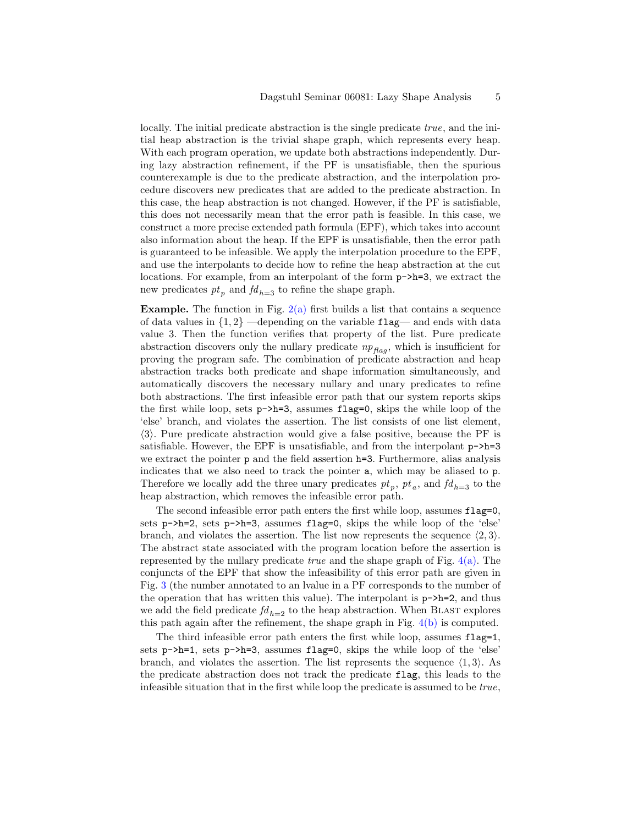locally. The initial predicate abstraction is the single predicate true, and the initial heap abstraction is the trivial shape graph, which represents every heap. With each program operation, we update both abstractions independently. During lazy abstraction refinement, if the PF is unsatisfiable, then the spurious counterexample is due to the predicate abstraction, and the interpolation procedure discovers new predicates that are added to the predicate abstraction. In this case, the heap abstraction is not changed. However, if the PF is satisfiable, this does not necessarily mean that the error path is feasible. In this case, we construct a more precise extended path formula (EPF), which takes into account also information about the heap. If the EPF is unsatisfiable, then the error path is guaranteed to be infeasible. We apply the interpolation procedure to the EPF, and use the interpolants to decide how to refine the heap abstraction at the cut locations. For example, from an interpolant of the form p->h=3, we extract the new predicates  $pt_p$  and  $fd_{h=3}$  to refine the shape graph.

**Example.** The function in Fig.  $2(a)$  first builds a list that contains a sequence of data values in  $\{1,2\}$  —depending on the variable flag— and ends with data value 3. Then the function verifies that property of the list. Pure predicate abstraction discovers only the nullary predicate  $np_{\text{flag}}$ , which is insufficient for proving the program safe. The combination of predicate abstraction and heap abstraction tracks both predicate and shape information simultaneously, and automatically discovers the necessary nullary and unary predicates to refine both abstractions. The first infeasible error path that our system reports skips the first while loop, sets  $p-\lambda=3$ , assumes flag=0, skips the while loop of the 'else' branch, and violates the assertion. The list consists of one list element,  $\langle 3 \rangle$ . Pure predicate abstraction would give a false positive, because the PF is satisfiable. However, the EPF is unsatisfiable, and from the interpolant  $p$ ->h=3 we extract the pointer p and the field assertion h=3. Furthermore, alias analysis indicates that we also need to track the pointer a, which may be aliased to p. Therefore we locally add the three unary predicates  $pt_p$ ,  $pt_a$ , and  $fd_{h=3}$  to the heap abstraction, which removes the infeasible error path.

The second infeasible error path enters the first while loop, assumes flag=0, sets p->h=2, sets p->h=3, assumes flag=0, skips the while loop of the 'else' branch, and violates the assertion. The list now represents the sequence  $\langle 2, 3 \rangle$ . The abstract state associated with the program location before the assertion is represented by the nullary predicate *true* and the shape graph of Fig.  $4(a)$ . The conjuncts of the EPF that show the infeasibility of this error path are given in Fig. [3](#page-5-1) (the number annotated to an lvalue in a PF corresponds to the number of the operation that has written this value). The interpolant is  $p\rightarrow h=2$ , and thus we add the field predicate  $f d_{h=2}$  to the heap abstraction. When BLAST explores this path again after the refinement, the shape graph in Fig. [4\(b\)](#page-5-2) is computed.

The third infeasible error path enters the first while loop, assumes  $\texttt{flag=1}$ , sets p->h=1, sets p->h=3, assumes flag=0, skips the while loop of the 'else' branch, and violates the assertion. The list represents the sequence  $\langle 1, 3 \rangle$ . As the predicate abstraction does not track the predicate flag, this leads to the infeasible situation that in the first while loop the predicate is assumed to be true,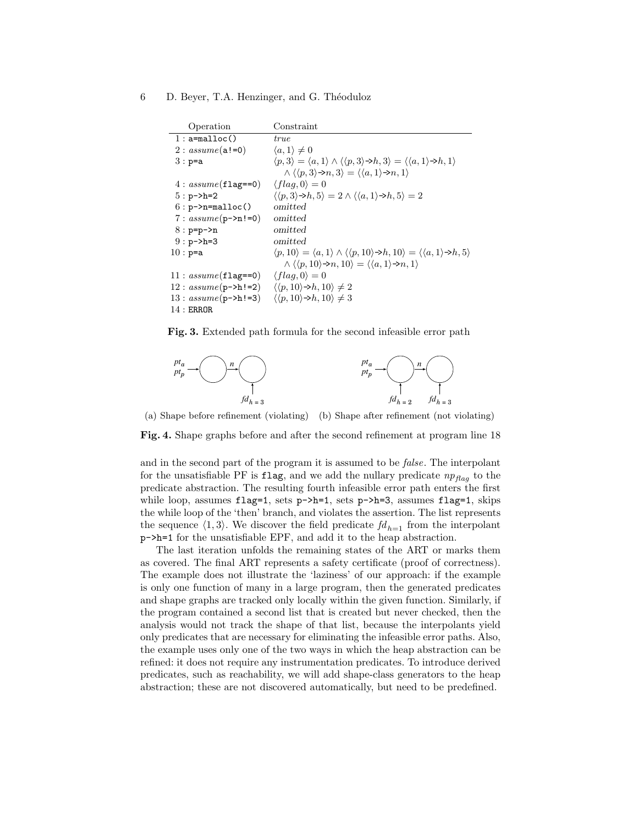| Operation                       | Constraint                                                                                                                                                    |
|---------------------------------|---------------------------------------------------------------------------------------------------------------------------------------------------------------|
| $1:$ a=malloc()                 | true                                                                                                                                                          |
| 2 : $assume(a!=0)$              | $\langle a, 1 \rangle \neq 0$                                                                                                                                 |
| $3:p=a$                         | $\langle p,3\rangle = \langle a,1\rangle \wedge \langle \langle p,3\rangle \rightarrow h,3\rangle = \langle \langle a,1\rangle \rightarrow h,1\rangle$        |
|                                 | $\wedge \langle \langle p, 3 \rangle \rightarrow n, 3 \rangle = \langle \langle a, 1 \rangle \rightarrow n, 1 \rangle$                                        |
| $4: assume(\texttt{flag==0})$   | $\langle flag, 0 \rangle = 0$                                                                                                                                 |
| $5: p \rightarrow h = 2$        | $\langle \langle p,3 \rangle \rightarrow h, 5 \rangle = 2 \wedge \langle \langle a,1 \rangle \rightarrow h, 5 \rangle = 2$                                    |
| $6: p \rightarrow n = malloc()$ | omitted                                                                                                                                                       |
| 7 : $assume(p-\text{>n}!=0)$    | omitted                                                                                                                                                       |
| $8: p=p->n$                     | omitted                                                                                                                                                       |
| $9 : p->h=3$                    | omitted                                                                                                                                                       |
| $10:$ p=a                       | $\langle p, 10 \rangle = \langle a, 1 \rangle \wedge \langle p, 10 \rangle \rightarrow h, 10 \rangle = \langle \langle a, 1 \rangle \rightarrow h, 5 \rangle$ |
|                                 | $\land \langle \langle p, 10 \rangle \rightarrow n, 10 \rangle = \langle \langle a, 1 \rangle \rightarrow n, 1 \rangle$                                       |
| $11: assume(\texttt{flag==0})$  | $\langle flag, 0 \rangle = 0$                                                                                                                                 |
| $12: assume(p-\lambda_1)=2)$    | $\langle \langle p, 10 \rangle \rightarrow h, 10 \rangle \neq 2$                                                                                              |
| $13: assume(p-\lambda h!=3)$    | $\langle \langle p, 10 \rangle \rightarrow h, 10 \rangle \neq 3$                                                                                              |
| 14:ERROR                        |                                                                                                                                                               |

<span id="page-5-1"></span>Fig. 3. Extended path formula for the second infeasible error path

<span id="page-5-2"></span><span id="page-5-0"></span>

(a) Shape before refinement (violating) (b) Shape after refinement (not violating)

Fig. 4. Shape graphs before and after the second refinement at program line 18

and in the second part of the program it is assumed to be false. The interpolant for the unsatisfiable PF is flag, and we add the nullary predicate  $np_{flag}$  to the predicate abstraction. The resulting fourth infeasible error path enters the first while loop, assumes  $flag=1$ , sets  $p-\lambda=1$ , sets  $p-\lambda=3$ , assumes  $flag=1$ , skips the while loop of the 'then' branch, and violates the assertion. The list represents the sequence  $\langle 1, 3 \rangle$ . We discover the field predicate  $fd_{h=1}$  from the interpolant p->h=1 for the unsatisfiable EPF, and add it to the heap abstraction.

The last iteration unfolds the remaining states of the ART or marks them as covered. The final ART represents a safety certificate (proof of correctness). The example does not illustrate the 'laziness' of our approach: if the example is only one function of many in a large program, then the generated predicates and shape graphs are tracked only locally within the given function. Similarly, if the program contained a second list that is created but never checked, then the analysis would not track the shape of that list, because the interpolants yield only predicates that are necessary for eliminating the infeasible error paths. Also, the example uses only one of the two ways in which the heap abstraction can be refined: it does not require any instrumentation predicates. To introduce derived predicates, such as reachability, we will add shape-class generators to the heap abstraction; these are not discovered automatically, but need to be predefined.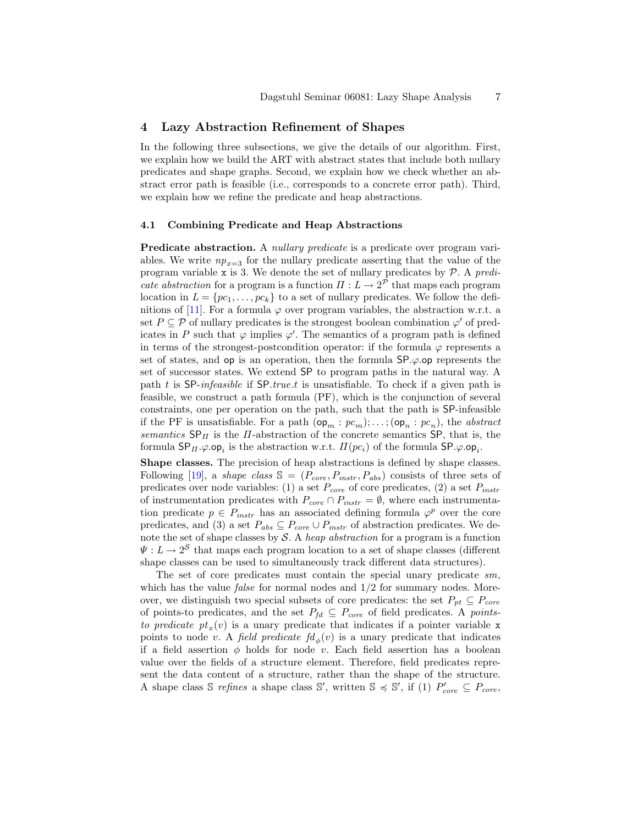## 4 Lazy Abstraction Refinement of Shapes

In the following three subsections, we give the details of our algorithm. First, we explain how we build the ART with abstract states that include both nullary predicates and shape graphs. Second, we explain how we check whether an abstract error path is feasible (i.e., corresponds to a concrete error path). Third, we explain how we refine the predicate and heap abstractions.

#### 4.1 Combining Predicate and Heap Abstractions

Predicate abstraction. A *nullary predicate* is a predicate over program variables. We write  $np_{x=3}$  for the nullary predicate asserting that the value of the program variable x is 3. We denote the set of nullary predicates by  $P$ . A predicate abstraction for a program is a function  $\Pi: L \to 2^{\mathcal{P}}$  that maps each program location in  $L = \{pc_1, \ldots, pc_k\}$  to a set of nullary predicates. We follow the defi-nitions of [\[11\]](#page-15-9). For a formula  $\varphi$  over program variables, the abstraction w.r.t. a set  $P \subseteq \mathcal{P}$  of nullary predicates is the strongest boolean combination  $\varphi'$  of predicates in P such that  $\varphi$  implies  $\varphi'$ . The semantics of a program path is defined in terms of the strongest-postcondition operator: if the formula  $\varphi$  represents a set of states, and op is an operation, then the formula  $\mathsf{SP}_{\cdot\varphi}$  op represents the set of successor states. We extend SP to program paths in the natural way. A path t is  $SP\text{-}infeasible$  if  $SP\text{-}true.t$  is unsatisfiable. To check if a given path is feasible, we construct a path formula (PF), which is the conjunction of several constraints, one per operation on the path, such that the path is SP-infeasible if the PF is unsatisfiable. For a path  $(\mathsf{op}_m : pc_m); \ldots; (\mathsf{op}_n : pc_n)$ , the abstract semantics  $\text{SP}_{\Pi}$  is the  $\Pi$ -abstraction of the concrete semantics  $\text{SP}_{\Pi}$ , that is, the formula  $\mathsf{SP}_\Pi.\varphi.\mathsf{op}_i$  is the abstraction w.r.t.  $\Pi(pc_i)$  of the formula  $\mathsf{SP}.\varphi.\mathsf{op}_i$ .

Shape classes. The precision of heap abstractions is defined by shape classes. Following [\[19\]](#page-15-6), a shape class  $\mathcal{S} = (P_{core}, P_{instr}, P_{abs})$  consists of three sets of predicates over node variables: (1) a set  $P_{core}$  of core predicates, (2) a set  $P_{instr}$ of instrumentation predicates with  $P_{core} \cap P_{instr} = \emptyset$ , where each instrumentation predicate  $p \in P_{instr}$  has an associated defining formula  $\varphi^p$  over the core predicates, and (3) a set  $P_{abs} \subseteq P_{core} \cup P_{instr}$  of abstraction predicates. We denote the set of shape classes by  $S$ . A heap abstraction for a program is a function  $\Psi: L \to 2^S$  that maps each program location to a set of shape classes (different shape classes can be used to simultaneously track different data structures).

The set of core predicates must contain the special unary predicate  $sm$ . which has the value *false* for normal nodes and  $1/2$  for summary nodes. Moreover, we distinguish two special subsets of core predicates: the set  $P_{pt} \subseteq P_{core}$ of points-to predicates, and the set  $P_{fd} \subseteq P_{core}$  of field predicates. A pointsto predicate  $pt_x(v)$  is a unary predicate that indicates if a pointer variable x points to node v. A field predicate  $fd_{\phi}(v)$  is a unary predicate that indicates if a field assertion  $\phi$  holds for node v. Each field assertion has a boolean value over the fields of a structure element. Therefore, field predicates represent the data content of a structure, rather than the shape of the structure. A shape class S refines a shape class S', written  $\mathbb{S} \preccurlyeq \mathbb{S}'$ , if (1)  $P'_{core} \subseteq P_{core}$ ,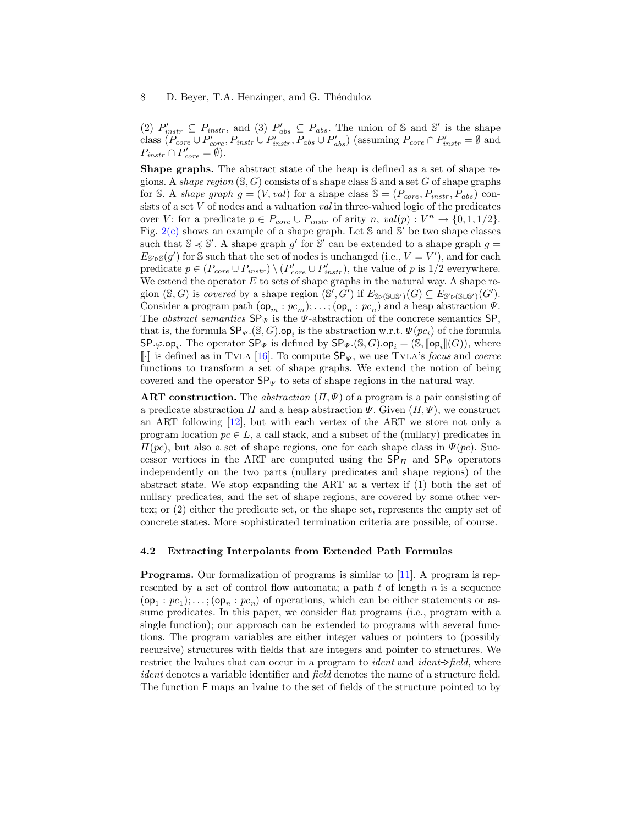(2)  $P'_{instr} \subseteq P_{instr}$ , and (3)  $P'_{abs} \subseteq P_{abs}$ . The union of S and S' is the shape class  $(P_{core} \cup P'_{core}, P_{instr} \cup P'_{instr}, P_{abs} \cup P'_{abs})$  (assuming  $P_{core} \cap P'_{instr} = \emptyset$  and  $P_{instr} \cap P_{core}' = \emptyset$ ).

Shape graphs. The abstract state of the heap is defined as a set of shape regions. A shape region  $(S, G)$  consists of a shape class S and a set G of shape graphs for S. A shape graph  $g = (V, val)$  for a shape class  $\mathcal{S} = (P_{core}, P_{instr}, P_{abs})$  consists of a set  $V$  of nodes and a valuation  $val$  in three-valued logic of the predicates over V: for a predicate  $p \in P_{core} \cup P_{instr}$  of arity  $n, val(p) : V^n \rightarrow \{0, 1, 1/2\}.$ Fig.  $2(c)$  shows an example of a shape graph. Let S and S' be two shape classes such that  $\mathbb{S} \preccurlyeq \mathbb{S}'$ . A shape graph  $g'$  for  $\mathbb{S}'$  can be extended to a shape graph  $g =$  $E_{\mathbb{S}' \triangleright \mathbb{S}}(g')$  for  $\mathbb S$  such that the set of nodes is unchanged (i.e.,  $V = V'$ ), and for each predicate  $p \in (P_{core} \cup P_{instr}) \setminus (P'_{core} \cup P'_{instr})$ , the value of p is 1/2 everywhere. We extend the operator  $E$  to sets of shape graphs in the natural way. A shape region  $(S, G)$  is covered by a shape region  $(S', G')$  if  $E_{S_{\mathcal{D}}(S\cup S')}(G) \subseteq E_{S' \mathcal{D}}(S \cup S')$  (G'). Consider a program path  $(\mathsf{op}_m : pc_m); \ldots; (\mathsf{op}_n : pc_n)$  and a heap abstraction  $\Psi$ . The *abstract semantics*  $\mathsf{SP}_{\Psi}$  is the  $\Psi$ -abstraction of the concrete semantics  $\mathsf{SP}_{\Sigma}$ , that is, the formula  $\mathsf{SP}_{\Psi}$ .(S, G).op<sub>i</sub> is the abstraction w.r.t.  $\Psi(pc_i)$  of the formula  $\mathsf{SP}.\varphi.\mathsf{op}_i$ . The operator  $\mathsf{SP}_\Psi$  is defined by  $\mathsf{SP}_\Psi$ .(S, G). $\mathsf{op}_i = (\mathbb{S}, [\![\mathsf{op}_i]\!](G))$ , where [·] is defined as in TVLA [\[16\]](#page-15-10). To compute  $\mathsf{SP}_{\Psi}$ , we use TVLA's focus and coerce functions to transform a set of shape graphs. We extend the notion of being covered and the operator  $\mathsf{SP}_{\Psi}$  to sets of shape regions in the natural way.

**ART** construction. The abstraction  $(\Pi, \Psi)$  of a program is a pair consisting of a predicate abstraction  $\Pi$  and a heap abstraction  $\Psi$ . Given  $(\Pi, \Psi)$ , we construct an ART following [\[12\]](#page-15-7), but with each vertex of the ART we store not only a program location  $pc \in L$ , a call stack, and a subset of the (nullary) predicates in  $\Pi(pc)$ , but also a set of shape regions, one for each shape class in  $\Psi(pc)$ . Successor vertices in the ART are computed using the  $\mathsf{SP}_{\Pi}$  and  $\mathsf{SP}_{\Psi}$  operators independently on the two parts (nullary predicates and shape regions) of the abstract state. We stop expanding the ART at a vertex if (1) both the set of nullary predicates, and the set of shape regions, are covered by some other vertex; or (2) either the predicate set, or the shape set, represents the empty set of concrete states. More sophisticated termination criteria are possible, of course.

#### 4.2 Extracting Interpolants from Extended Path Formulas

Programs. Our formalization of programs is similar to [\[11\]](#page-15-9). A program is represented by a set of control flow automata; a path  $t$  of length  $n$  is a sequence  $(\mathsf{op}_1:pc_1); \ldots; (\mathsf{op}_n:pc_n)$  of operations, which can be either statements or assume predicates. In this paper, we consider flat programs (i.e., program with a single function); our approach can be extended to programs with several functions. The program variables are either integer values or pointers to (possibly recursive) structures with fields that are integers and pointer to structures. We restrict the lvalues that can occur in a program to *ident* and *ident* $\rightarrow$  *field*, where ident denotes a variable identifier and *field* denotes the name of a structure field. The function F maps an lvalue to the set of fields of the structure pointed to by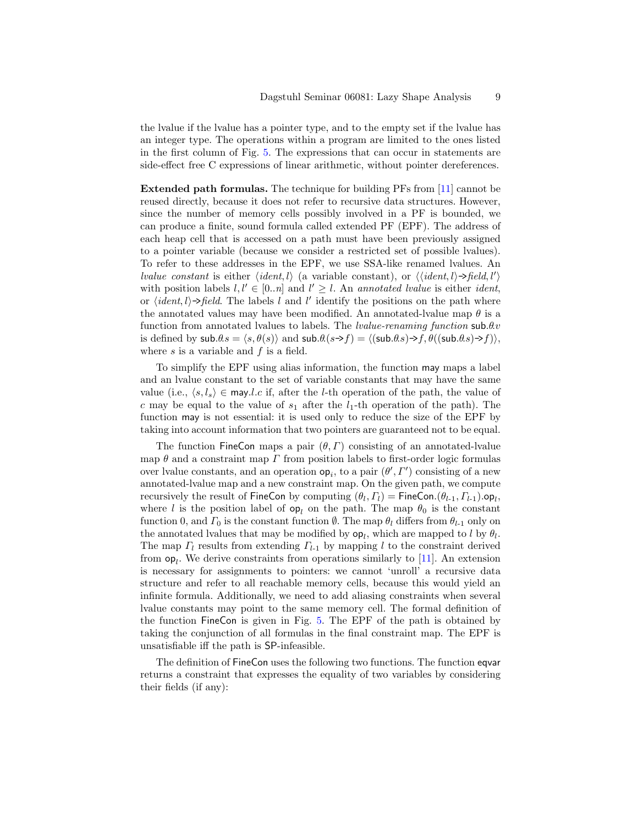the lvalue if the lvalue has a pointer type, and to the empty set if the lvalue has an integer type. The operations within a program are limited to the ones listed in the first column of Fig. [5.](#page-9-0) The expressions that can occur in statements are side-effect free C expressions of linear arithmetic, without pointer dereferences.

Extended path formulas. The technique for building PFs from [\[11\]](#page-15-9) cannot be reused directly, because it does not refer to recursive data structures. However, since the number of memory cells possibly involved in a PF is bounded, we can produce a finite, sound formula called extended PF (EPF). The address of each heap cell that is accessed on a path must have been previously assigned to a pointer variable (because we consider a restricted set of possible lvalues). To refer to these addresses in the EPF, we use SSA-like renamed lvalues. An *lvalue constant* is either  $\langle ident, l \rangle$  (a variable constant), or  $\langle ident, l \rangle \rightarrow field, l' \rangle$ with position labels  $l, l' \in [0..n]$  and  $l' \geq l$ . An annotated lvalue is either ident, or  $\langle ident, l \rangle \rightarrow field$ . The labels l and l' identify the positions on the path where the annotated values may have been modified. An annotated-lvalue map  $\theta$  is a function from annotated lvalues to labels. The *lvalue-renaming function* sub. $\theta v$ is defined by  $\textsf{sub.}\theta.s = \langle s, \theta(s) \rangle$  and  $\textsf{sub.}\theta(s\rightarrow f) = \langle (\textsf{sub.}\theta.s)\rightarrow f, \theta((\textsf{sub.}\theta.s)\rightarrow f) \rangle$ , where  $s$  is a variable and  $f$  is a field.

To simplify the EPF using alias information, the function may maps a label and an lvalue constant to the set of variable constants that may have the same value (i.e.,  $\langle s, l_s \rangle \in \text{may}.l.c$  if, after the l-th operation of the path, the value of c may be equal to the value of  $s_1$  after the  $l_1$ -th operation of the path). The function may is not essential: it is used only to reduce the size of the EPF by taking into account information that two pointers are guaranteed not to be equal.

The function FineCon maps a pair  $(\theta, \Gamma)$  consisting of an annotated-lvalue map  $\theta$  and a constraint map  $\Gamma$  from position labels to first-order logic formulas over lyalue constants, and an operation  $\mathsf{op}_i$ , to a pair  $(\theta', \Gamma')$  consisting of a new annotated-lvalue map and a new constraint map. On the given path, we compute recursively the result of FineCon by computing  $(\theta_l, \Gamma_l) = \mathsf{FineCon}.(\theta_{l-1}, \Gamma_{l-1}).\mathsf{op}_l$ , where l is the position label of  $op_l$  on the path. The map  $\theta_0$  is the constant function 0, and  $\Gamma_0$  is the constant function  $\emptyset$ . The map  $\theta_l$  differs from  $\theta_{l-1}$  only on the annotated lvalues that may be modified by  $op_l$ , which are mapped to l by  $\theta_l$ . The map  $\Gamma_l$  results from extending  $\Gamma_{l-1}$  by mapping l to the constraint derived from  $op_l$ . We derive constraints from operations similarly to [\[11\]](#page-15-9). An extension is necessary for assignments to pointers: we cannot 'unroll' a recursive data structure and refer to all reachable memory cells, because this would yield an infinite formula. Additionally, we need to add aliasing constraints when several lvalue constants may point to the same memory cell. The formal definition of the function FineCon is given in Fig. [5.](#page-9-0) The EPF of the path is obtained by taking the conjunction of all formulas in the final constraint map. The EPF is unsatisfiable iff the path is SP-infeasible.

The definition of FineCon uses the following two functions. The function eqvar returns a constraint that expresses the equality of two variables by considering their fields (if any):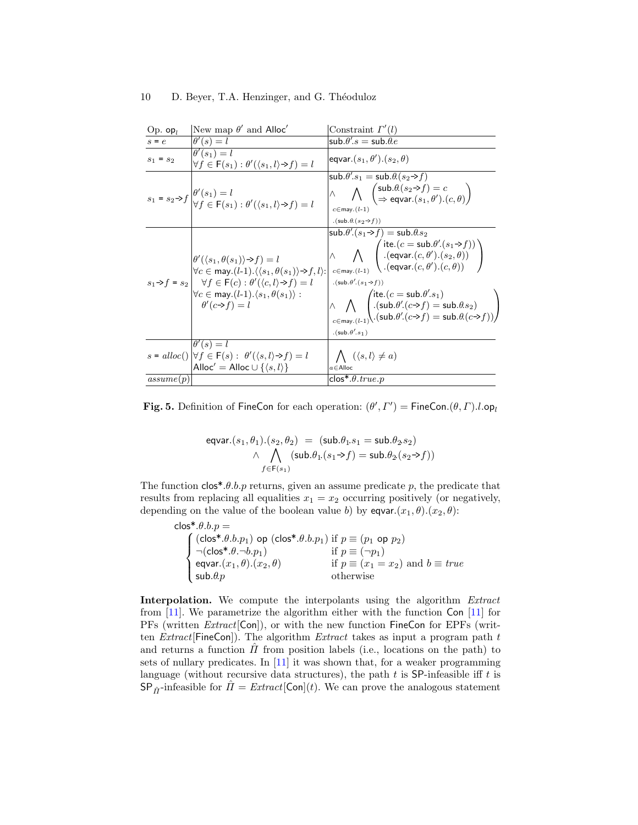| $Op.$ op <sub>l</sub> | New map $\theta'$ and Alloc'                                                                                                                                                                                                                                                                                                                                                             | Constraint $\Gamma'(l)$                                                                                                                                                                                                                                                                                                                                                                                                                                                                                                                                                                                                                                                                                                                                                               |  |
|-----------------------|------------------------------------------------------------------------------------------------------------------------------------------------------------------------------------------------------------------------------------------------------------------------------------------------------------------------------------------------------------------------------------------|---------------------------------------------------------------------------------------------------------------------------------------------------------------------------------------------------------------------------------------------------------------------------------------------------------------------------------------------------------------------------------------------------------------------------------------------------------------------------------------------------------------------------------------------------------------------------------------------------------------------------------------------------------------------------------------------------------------------------------------------------------------------------------------|--|
| $s = e$               | $\theta'(s) = l$                                                                                                                                                                                                                                                                                                                                                                         | $sub.\theta's = sub.\theta.e$                                                                                                                                                                                                                                                                                                                                                                                                                                                                                                                                                                                                                                                                                                                                                         |  |
| $s_1 = s_2$           | $\theta'(s_1)=l$<br>$\forall f \in \mathsf{F}(s_1) : \theta'(\langle s_1, l \rangle \rightarrow f) = l$                                                                                                                                                                                                                                                                                  | eqvar. $(s_1, \theta')$ . $(s_2, \theta)$                                                                                                                                                                                                                                                                                                                                                                                                                                                                                                                                                                                                                                                                                                                                             |  |
|                       | $s_1 = s_2 \rightarrow f \begin{cases} \theta'(s_1) = l \\ \forall f \in F(s_1) : \theta'(s_1, l) \rightarrow f) = l \end{cases}$                                                                                                                                                                                                                                                        | $sub.\theta'.s_1 = sub.\theta.(s_2 \rightarrow f)$<br>$\begin{array}{ccc} \wedge & \bigwedge & \left( \textsf{sub.}\theta.(s_2 \rightarrow f) = c \\ \Rightarrow & \textsf{equar.}(s_1, \theta').(c, \theta) \end{array} \right)$<br>$c \in \text{may.} (l-1)$<br>$.(sub.\theta.(s_2 \rightarrow f))$                                                                                                                                                                                                                                                                                                                                                                                                                                                                                 |  |
|                       | $ \theta'(s_1, \theta(s_1)) \rightarrow f  = l$<br>$\forall c \in \text{may.}(l-1). \langle \langle s_1, \theta(s_1) \rangle \rightarrow f, l \rangle$ :<br>$s_1 \rightarrow f = s_2 \vert \quad \forall f \in \mathsf{F}(c) : \theta'(\langle c, l \rangle \rightarrow f) = l$<br>$\forall c \in \text{may.}(l-1). \langle s_1, \theta(s_1) \rangle :$<br>$\theta'(c\rightarrow f) = l$ | $\mathsf{sub.}\theta'(s_1 \rightarrow f) = \mathsf{sub.}\theta.s_2$<br>$\left \wedge \bigwedge_{c \in \mathsf{may}.(l\text{-}1)} \left(\begin{matrix}\mathsf{ite}.(c=\mathsf{sub}.\theta'.(s_1\text{-}\mathsf{y}f))\\.(\mathsf{equiv}.(c,\theta').(s_2,\theta))\\.(\mathsf{equiv}.(c,\theta').(c,\theta))\end{matrix}\right)\right $<br>$(sub.\theta'(s_1 \rightarrow f))$<br>$\left \wedge \bigwedge_{c \in \mathsf{max}.(l-1)} \hspace{-1mm} \begin{pmatrix}\hspace{-0.2cm} \text{ite.} (c = \mathsf{sub}. \theta'.s_1)\\ \hspace{-0.2cm} \text{(sub.} \theta'.(c \!\!\rightarrow\!\! f) = \mathsf{sub}. \theta.s_2)\\ \hspace{-0.2cm} \text{(sub.} \theta'.(c \!\!\rightarrow\!\! f) = \mathsf{sub}. \theta(c \!\!\rightarrow\!\! f)) \end{pmatrix}\right $<br>$(sub.\theta'.s_1)$ |  |
|                       | $\theta'(s) = l$<br>$s = alloc()$ $\forall f \in F(s) : \theta'(\langle s, l \rangle \rightarrow f) = l$<br>$\mathsf{Alloc}' = \mathsf{Alloc} \cup \{\langle s,l\rangle\}$                                                                                                                                                                                                               | $\bigwedge (\langle s,l \rangle \neq a)$<br>$a \in$ Alloc                                                                                                                                                                                                                                                                                                                                                                                                                                                                                                                                                                                                                                                                                                                             |  |
| assume(p)             |                                                                                                                                                                                                                                                                                                                                                                                          | $\mathsf{clos}^*. \theta.\mathit{true}.p$                                                                                                                                                                                                                                                                                                                                                                                                                                                                                                                                                                                                                                                                                                                                             |  |

<span id="page-9-0"></span>**Fig. 5.** Definition of FineCon for each operation:  $(\theta', \Gamma') =$  FineCon. $(\theta, \Gamma)$ .l.op<sub>l</sub>

$$
\mathsf{equar.}(s_1,\theta_1).(s_2,\theta_2) \ = \ (\mathsf{sub}.\theta_1.s_1 = \mathsf{sub}.\theta_2.s_2) \\ \land \ \bigwedge_{f \in \mathsf{F}(s_1)} (\mathsf{sub}.\theta_1.(s_1{\Rightarrow} f) = \mathsf{sub}.\theta_2(s_2{\Rightarrow} f))
$$

The function  $\cos^* \theta \cdot \theta \cdot p$  returns, given an assume predicate p, the predicate that results from replacing all equalities  $x_1 = x_2$  occurring positively (or negatively, depending on the value of the boolean value b) by eqvar. $(x_1, \theta)$ . $(x_2, \theta)$ :

$$
\begin{array}{ll}\n\mathsf{clos*}.\theta.b.p = \\
\begin{cases}\n(\mathsf{clos*}.\theta.b.p_1) & \mathsf{op} \ (\mathsf{clos*}.\theta.b.p_1) \ \mathsf{if} \ p \equiv (p_1 \ \mathsf{op} \ p_2) \\
\lnot(\mathsf{clos*}.\theta.\neg b.p_1) & \text{if} \ p \equiv (\neg p_1) \\
\mathsf{equa}r.(x_1,\theta).(x_2,\theta) & \text{if} \ p \equiv (x_1 = x_2) \ \text{and} \ b \equiv \mathit{true} \\
\mathsf{sub}.\theta.p & \text{otherwise}\n\end{cases}\n\end{array}
$$

Interpolation. We compute the interpolants using the algorithm Extract from [\[11\]](#page-15-9). We parametrize the algorithm either with the function Con [\[11\]](#page-15-9) for PFs (written *Extract* [Con]), or with the new function FineCon for EPFs (written  $Extract[FinCon])$ . The algorithm  $Extract$  takes as input a program path t and returns a function  $\overline{II}$  from position labels (i.e., locations on the path) to sets of nullary predicates. In [\[11\]](#page-15-9) it was shown that, for a weaker programming language (without recursive data structures), the path  $t$  is  $SP$ -infeasible iff  $t$  is  $\mathsf{SP}_{\hat{\Pi}}$ -infeasible for  $\hat{\Pi} = Extract[\text{Con}](t)$ . We can prove the analogous statement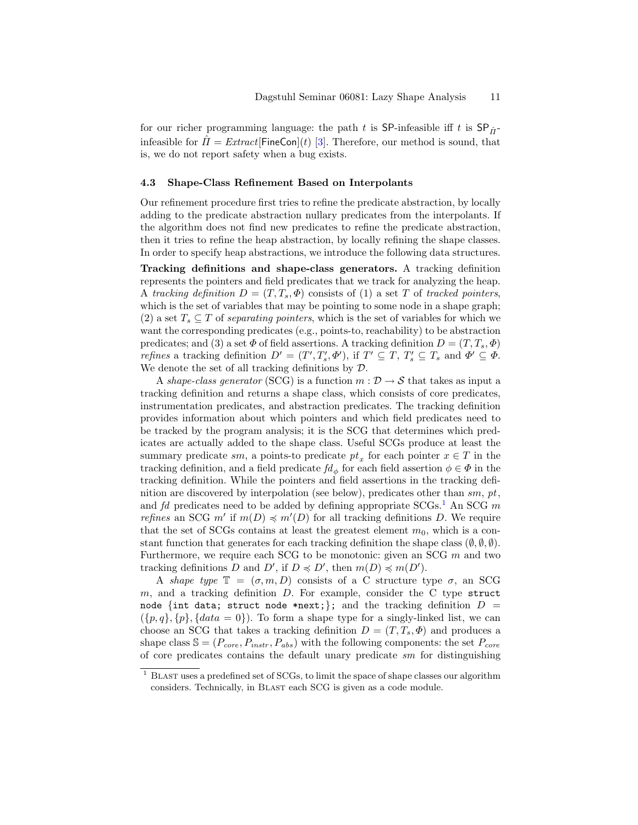for our richer programming language: the path t is SP-infeasible iff t is  $SP_{\hat{\pi}}$ infeasible for  $\hat{\Pi} = Extract[\text{FineCon}](t)$  [\[3\]](#page-15-11). Therefore, our method is sound, that is, we do not report safety when a bug exists.

#### 4.3 Shape-Class Refinement Based on Interpolants

Our refinement procedure first tries to refine the predicate abstraction, by locally adding to the predicate abstraction nullary predicates from the interpolants. If the algorithm does not find new predicates to refine the predicate abstraction, then it tries to refine the heap abstraction, by locally refining the shape classes. In order to specify heap abstractions, we introduce the following data structures.

Tracking definitions and shape-class generators. A tracking definition represents the pointers and field predicates that we track for analyzing the heap. A tracking definition  $D = (T, T_s, \Phi)$  consists of (1) a set T of tracked pointers, which is the set of variables that may be pointing to some node in a shape graph; (2) a set  $T_s \subseteq T$  of *separating pointers*, which is the set of variables for which we want the corresponding predicates (e.g., points-to, reachability) to be abstraction predicates; and (3) a set  $\Phi$  of field assertions. A tracking definition  $D = (T, T_s, \Phi)$ *refines* a tracking definition  $D' = (T', T'_s, \Phi')$ , if  $T' \subseteq T$ ,  $T'_s \subseteq T_s$  and  $\Phi' \subseteq \Phi$ . We denote the set of all tracking definitions by D.

A shape-class generator (SCG) is a function  $m: \mathcal{D} \to \mathcal{S}$  that takes as input a tracking definition and returns a shape class, which consists of core predicates, instrumentation predicates, and abstraction predicates. The tracking definition provides information about which pointers and which field predicates need to be tracked by the program analysis; it is the SCG that determines which predicates are actually added to the shape class. Useful SCGs produce at least the summary predicate  $sm$ , a points-to predicate  $pt_x$  for each pointer  $x \in T$  in the tracking definition, and a field predicate  $fd_{\phi}$  for each field assertion  $\phi \in \Phi$  in the tracking definition. While the pointers and field assertions in the tracking definition are discovered by interpolation (see below), predicates other than  $sm, pt$ , and fd predicates need to be added by defining appropriate  $SCGs$ <sup>[1](#page-10-0)</sup> An SCG m *refines* an SCG m' if  $m(D) \preccurlyeq m'(D)$  for all tracking definitions D. We require that the set of SCGs contains at least the greatest element  $m_0$ , which is a constant function that generates for each tracking definition the shape class  $(\emptyset, \emptyset, \emptyset)$ . Furthermore, we require each SCG to be monotonic: given an SCG  $m$  and two tracking definitions D and D', if  $D \preccurlyeq D'$ , then  $m(D) \preccurlyeq m(D')$ .

A shape type  $\mathbb{T} = (\sigma, m, D)$  consists of a C structure type  $\sigma$ , an SCG m, and a tracking definition  $D$ . For example, consider the C type struct node {int data; struct node \*next;}; and the tracking definition  $D =$  $({p,q}, {p}, {data = 0})$ . To form a shape type for a singly-linked list, we can choose an SCG that takes a tracking definition  $D = (T, T_s, \Phi)$  and produces a shape class  $\mathcal{S} = (P_{core}, P_{instr}, P_{abs})$  with the following components: the set  $P_{core}$ of core predicates contains the default unary predicate sm for distinguishing

<span id="page-10-0"></span> $1$  BLAST uses a predefined set of SCGs, to limit the space of shape classes our algorithm considers. Technically, in BLAST each SCG is given as a code module.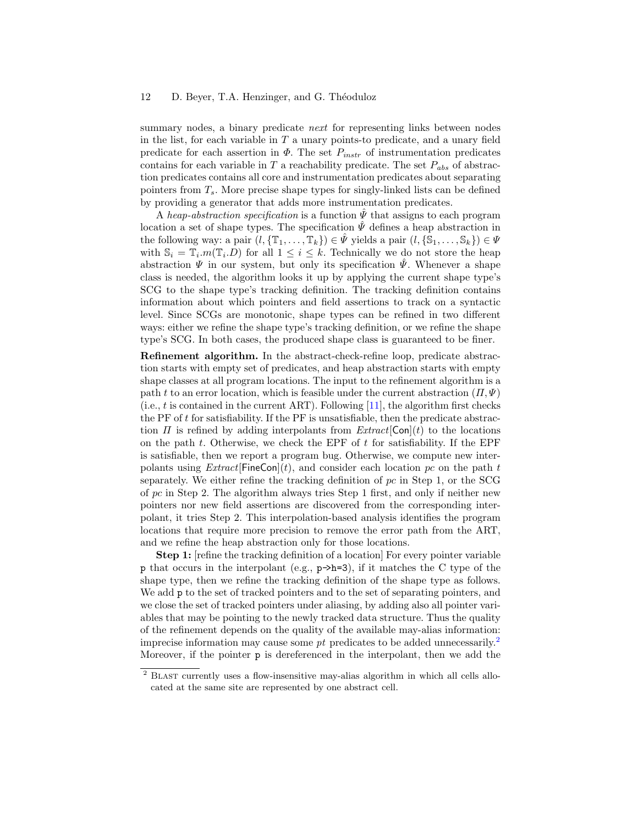summary nodes, a binary predicate *next* for representing links between nodes in the list, for each variable in  $T$  a unary points-to predicate, and a unary field predicate for each assertion in  $\Phi$ . The set  $P_{instr}$  of instrumentation predicates contains for each variable in  $T$  a reachability predicate. The set  $P_{abs}$  of abstraction predicates contains all core and instrumentation predicates about separating pointers from  $T_s$ . More precise shape types for singly-linked lists can be defined by providing a generator that adds more instrumentation predicates.

A heap-abstraction specification is a function  $\hat{\Psi}$  that assigns to each program location a set of shape types. The specification  $\hat{\Psi}$  defines a heap abstraction in the following way: a pair  $(l, \{T_1, \ldots, T_k\}) \in \hat{\Psi}$  yields a pair  $(l, \{S_1, \ldots, S_k\}) \in \Psi$ with  $\mathbb{S}_i = \mathbb{T}_i \cdot m(\mathbb{T}_i)$  for all  $1 \leq i \leq k$ . Technically we do not store the heap abstraction  $\Psi$  in our system, but only its specification  $\Psi$ . Whenever a shape class is needed, the algorithm looks it up by applying the current shape type's SCG to the shape type's tracking definition. The tracking definition contains information about which pointers and field assertions to track on a syntactic level. Since SCGs are monotonic, shape types can be refined in two different ways: either we refine the shape type's tracking definition, or we refine the shape type's SCG. In both cases, the produced shape class is guaranteed to be finer.

Refinement algorithm. In the abstract-check-refine loop, predicate abstraction starts with empty set of predicates, and heap abstraction starts with empty shape classes at all program locations. The input to the refinement algorithm is a path t to an error location, which is feasible under the current abstraction  $(\Pi, \Psi)$ (i.e.,  $t$  is contained in the current ART). Following [\[11\]](#page-15-9), the algorithm first checks the PF of  $t$  for satisfiability. If the PF is unsatisfiable, then the predicate abstraction  $\Pi$  is refined by adding interpolants from  $Extract[Con](t)$  to the locations on the path  $t$ . Otherwise, we check the EPF of  $t$  for satisfiability. If the EPF is satisfiable, then we report a program bug. Otherwise, we compute new interpolants using  $Extract[Fin\text{Con}](t)$ , and consider each location pc on the path t separately. We either refine the tracking definition of  $pc$  in Step 1, or the SCG of  $pc$  in Step 2. The algorithm always tries Step 1 first, and only if neither new pointers nor new field assertions are discovered from the corresponding interpolant, it tries Step 2. This interpolation-based analysis identifies the program locations that require more precision to remove the error path from the ART, and we refine the heap abstraction only for those locations.

Step 1: [refine the tracking definition of a location] For every pointer variable p that occurs in the interpolant (e.g.,  $p\rightarrow h=3$ ), if it matches the C type of the shape type, then we refine the tracking definition of the shape type as follows. We add **p** to the set of tracked pointers and to the set of separating pointers, and we close the set of tracked pointers under aliasing, by adding also all pointer variables that may be pointing to the newly tracked data structure. Thus the quality of the refinement depends on the quality of the available may-alias information: imprecise information may cause some  $pt$  predicates to be added unnecessarily.<sup>[2](#page-11-0)</sup> Moreover, if the pointer p is dereferenced in the interpolant, then we add the

<span id="page-11-0"></span> $2$  BLAST currently uses a flow-insensitive may-alias algorithm in which all cells allocated at the same site are represented by one abstract cell.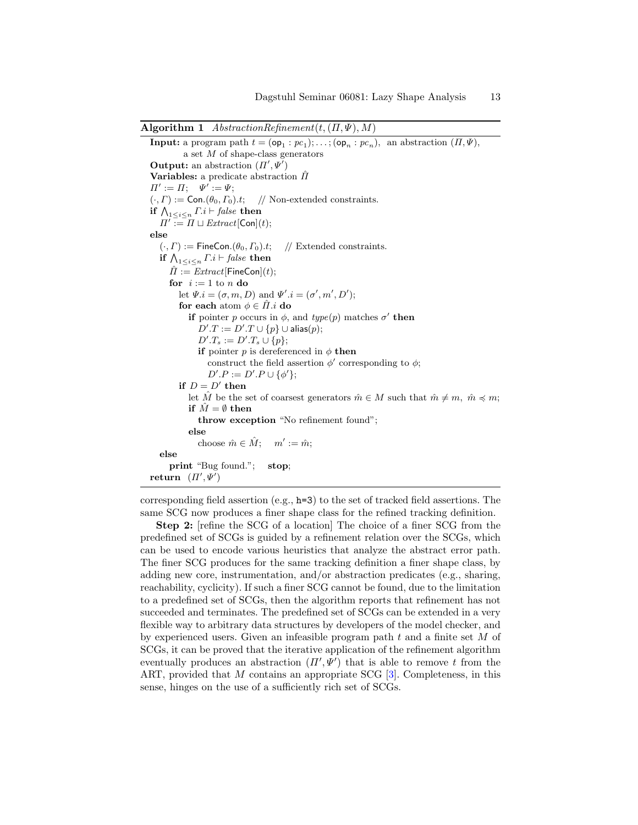Algorithm 1  $AbstractionRefinement(t, (II, \Psi), M)$ 

**Input:** a program path  $t = (op_1 : pc_1); \ldots; (op_n : pc_n)$ , an abstraction  $(\Pi, \Psi)$ , a set M of shape-class generators **Output:** an abstraction  $(\Pi', \Psi')$ **Variables:** a predicate abstraction  $\hat{\Pi}$  $\Pi' := \Pi; \quad \Psi' := \Psi;$  $(\cdot, \Gamma) := \text{Con.}(\theta_0, \Gamma_0).t;$  // Non-extended constraints. if  $\bigwedge_{1\leq i\leq n}\Gamma. i\vdash \mathit{false}$  then  $\Pi' := \Pi \sqcup Extract[Con](t);$ else  $(\cdot, \Gamma) := \mathsf{FineCon}.(\theta_0, \Gamma_0).t; \quad //$  Extended constraints. if  $\bigwedge_{1\leq i\leq n}\Gamma. i\vdash\mathit{false}$  then  $\Pi := Extract[FineCon](t);$ for  $i := 1$  to n do let  $\Psi.i = (\sigma, m, D)$  and  $\Psi'.i = (\sigma', m', D');$ for each atom  $\phi \in \hat{\Pi} \cdot i$  do if pointer p occurs in  $\phi$ , and type(p) matches  $\sigma'$  then  $D'.T := D'.T \cup \{p\} \cup \text{alias}(p);$  $D'.T_s := D'.T_s \cup \{p\};$ if pointer p is dereferenced in  $\phi$  then construct the field assertion  $\phi'$  corresponding to  $\phi$ ;  $D'.P := D'.P \cup \{\phi'\};$ if  $D = D'$  then let M be the set of coarsest generators  $\hat{m} \in M$  such that  $\hat{m} \neq m$ ,  $\hat{m} \preccurlyeq m$ ; if  $M = \emptyset$  then throw exception "No refinement found"; else choose  $\hat{m} \in \hat{M}$ ;  $m' := \hat{m}$ ; else print "Bug found."; stop; return  $(\Pi', \Psi')$ 

corresponding field assertion (e.g.,  $h=3$ ) to the set of tracked field assertions. The same SCG now produces a finer shape class for the refined tracking definition.

Step 2: [refine the SCG of a location] The choice of a finer SCG from the predefined set of SCGs is guided by a refinement relation over the SCGs, which can be used to encode various heuristics that analyze the abstract error path. The finer SCG produces for the same tracking definition a finer shape class, by adding new core, instrumentation, and/or abstraction predicates (e.g., sharing, reachability, cyclicity). If such a finer SCG cannot be found, due to the limitation to a predefined set of SCGs, then the algorithm reports that refinement has not succeeded and terminates. The predefined set of SCGs can be extended in a very flexible way to arbitrary data structures by developers of the model checker, and by experienced users. Given an infeasible program path  $t$  and a finite set  $M$  of SCGs, it can be proved that the iterative application of the refinement algorithm eventually produces an abstraction  $(\Pi', \Psi')$  that is able to remove t from the ART, provided that M contains an appropriate SCG [\[3\]](#page-15-11). Completeness, in this sense, hinges on the use of a sufficiently rich set of SCGs.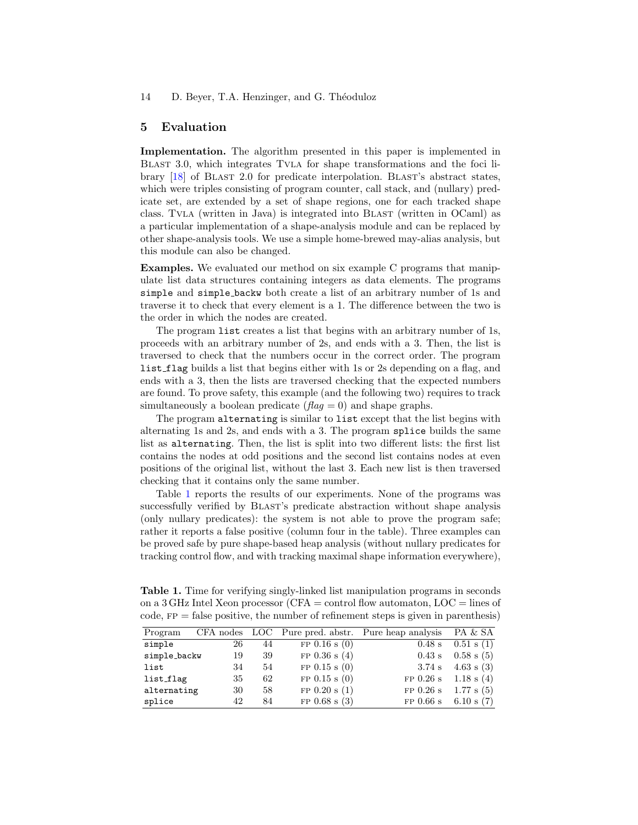## 5 Evaluation

Implementation. The algorithm presented in this paper is implemented in Blast 3.0, which integrates Tvla for shape transformations and the foci library [\[18\]](#page-15-8) of Blast 2.0 for predicate interpolation. Blast's abstract states, which were triples consisting of program counter, call stack, and (nullary) predicate set, are extended by a set of shape regions, one for each tracked shape class. Tvla (written in Java) is integrated into Blast (written in OCaml) as a particular implementation of a shape-analysis module and can be replaced by other shape-analysis tools. We use a simple home-brewed may-alias analysis, but this module can also be changed.

Examples. We evaluated our method on six example C programs that manipulate list data structures containing integers as data elements. The programs simple and simple backw both create a list of an arbitrary number of 1s and traverse it to check that every element is a 1. The difference between the two is the order in which the nodes are created.

The program list creates a list that begins with an arbitrary number of 1s, proceeds with an arbitrary number of 2s, and ends with a 3. Then, the list is traversed to check that the numbers occur in the correct order. The program list flag builds a list that begins either with 1s or 2s depending on a flag, and ends with a 3, then the lists are traversed checking that the expected numbers are found. To prove safety, this example (and the following two) requires to track simultaneously a boolean predicate  $(flag = 0)$  and shape graphs.

The program alternating is similar to list except that the list begins with alternating 1s and 2s, and ends with a 3. The program splice builds the same list as alternating. Then, the list is split into two different lists: the first list contains the nodes at odd positions and the second list contains nodes at even positions of the original list, without the last 3. Each new list is then traversed checking that it contains only the same number.

Table [1](#page-13-0) reports the results of our experiments. None of the programs was successfully verified by BLAST's predicate abstraction without shape analysis (only nullary predicates): the system is not able to prove the program safe; rather it reports a false positive (column four in the table). Three examples can be proved safe by pure shape-based heap analysis (without nullary predicates for tracking control flow, and with tracking maximal shape information everywhere),

| Program      |    |    |                   | CFA nodes LOC Pure pred. abstr. Pure heap analysis | PA & SA                    |
|--------------|----|----|-------------------|----------------------------------------------------|----------------------------|
| simple       | 26 | 44 | FP $0.16$ s $(0)$ | $0.48$ s                                           | $0.51$ s $(1)$             |
| simple_backw | 19 | 39 | FP $0.36$ s $(4)$ | $0.43$ s                                           | $0.58$ s $(5)$             |
| list         | 34 | 54 | FP $0.15 s(0)$    | $3.74\;$ s                                         | $4.63$ s $(3)$             |
| list_flag    | 35 | 62 | FP $0.15 s(0)$    |                                                    | FP $0.26$ s $1.18$ s $(4)$ |
| alternating  | 30 | 58 | FP $0.20 s(1)$    |                                                    | FP $0.26$ s $1.77$ s $(5)$ |
| splice       | 42 | 84 | FP $0.68$ s $(3)$ | $FP$ 0.66 s                                        | 6.10 s $(7)$               |

<span id="page-13-0"></span>Table 1. Time for verifying singly-linked list manipulation programs in seconds on a 3 GHz Intel Xeon processor (CFA = control flow automaton,  $LOC = lines$  of code,  $FP = false$  positive, the number of refinement steps is given in parenthesis)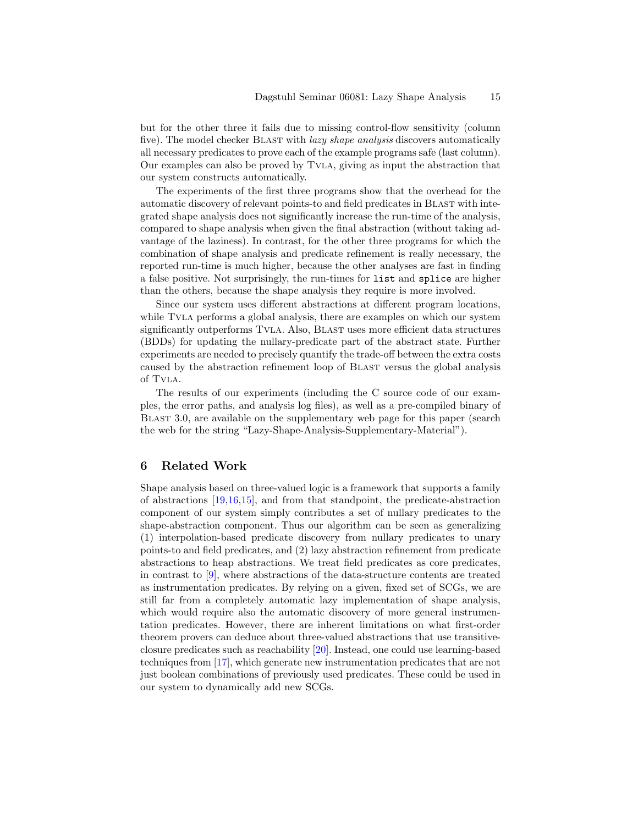but for the other three it fails due to missing control-flow sensitivity (column five). The model checker BLAST with *lazy shape analysis* discovers automatically all necessary predicates to prove each of the example programs safe (last column). Our examples can also be proved by TVLA, giving as input the abstraction that our system constructs automatically.

The experiments of the first three programs show that the overhead for the automatic discovery of relevant points-to and field predicates in BLAST with integrated shape analysis does not significantly increase the run-time of the analysis, compared to shape analysis when given the final abstraction (without taking advantage of the laziness). In contrast, for the other three programs for which the combination of shape analysis and predicate refinement is really necessary, the reported run-time is much higher, because the other analyses are fast in finding a false positive. Not surprisingly, the run-times for list and splice are higher than the others, because the shape analysis they require is more involved.

Since our system uses different abstractions at different program locations, while TVLA performs a global analysis, there are examples on which our system significantly outperforms TVLA. Also, BLAST uses more efficient data structures (BDDs) for updating the nullary-predicate part of the abstract state. Further experiments are needed to precisely quantify the trade-off between the extra costs caused by the abstraction refinement loop of BLAST versus the global analysis of Tvla.

The results of our experiments (including the C source code of our examples, the error paths, and analysis log files), as well as a pre-compiled binary of Blast 3.0, are available on the supplementary web page for this paper (search the web for the string "Lazy-Shape-Analysis-Supplementary-Material").

# 6 Related Work

Shape analysis based on three-valued logic is a framework that supports a family of abstractions [\[19](#page-15-6)[,16,](#page-15-10)[15\]](#page-15-12), and from that standpoint, the predicate-abstraction component of our system simply contributes a set of nullary predicates to the shape-abstraction component. Thus our algorithm can be seen as generalizing (1) interpolation-based predicate discovery from nullary predicates to unary points-to and field predicates, and (2) lazy abstraction refinement from predicate abstractions to heap abstractions. We treat field predicates as core predicates, in contrast to [\[9\]](#page-15-13), where abstractions of the data-structure contents are treated as instrumentation predicates. By relying on a given, fixed set of SCGs, we are still far from a completely automatic lazy implementation of shape analysis, which would require also the automatic discovery of more general instrumentation predicates. However, there are inherent limitations on what first-order theorem provers can deduce about three-valued abstractions that use transitiveclosure predicates such as reachability [\[20\]](#page-15-14). Instead, one could use learning-based techniques from [\[17\]](#page-15-15), which generate new instrumentation predicates that are not just boolean combinations of previously used predicates. These could be used in our system to dynamically add new SCGs.